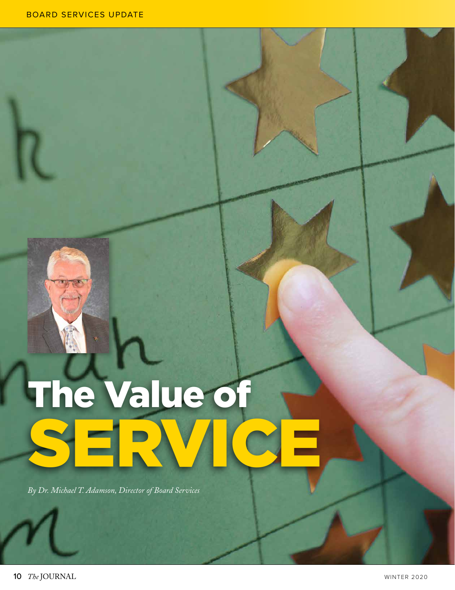## The Value of SERVICE

*By Dr. Michael T. Adamson, Director of Board Services*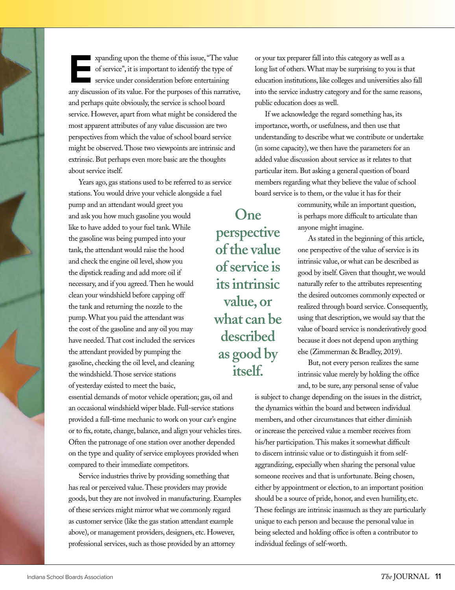**Expanding upon the theme of this issue, "The value<br>of service", it is important to identify the type of<br>service under consideration before entertaining<br>any discussion of its value. For the purposes of this partative** of service", it is important to identify the type of service under consideration before entertaining any discussion of its value. For the purposes of this narrative, and perhaps quite obviously, the service is school board service. However, apart from what might be considered the most apparent attributes of any value discussion are two perspectives from which the value of school board service might be observed. Those two viewpoints are intrinsic and extrinsic. But perhaps even more basic are the thoughts about service itself.

Years ago, gas stations used to be referred to as service stations. You would drive your vehicle alongside a fuel pump and an attendant would greet you and ask you how much gasoline you would like to have added to your fuel tank. While the gasoline was being pumped into your tank, the attendant would raise the hood and check the engine oil level, show you the dipstick reading and add more oil if necessary, and if you agreed. Then he would clean your windshield before capping off the tank and returning the nozzle to the pump. What you paid the attendant was the cost of the gasoline and any oil you may have needed. That cost included the services the attendant provided by pumping the gasoline, checking the oil level, and cleaning the windshield. Those service stations of yesterday existed to meet the basic,

essential demands of motor vehicle operation; gas, oil and an occasional windshield wiper blade. Full-service stations provided a full-time mechanic to work on your car's engine or to fix, rotate, change, balance, and align your vehicles tires. Often the patronage of one station over another depended on the type and quality of service employees provided when compared to their immediate competitors.

Service industries thrive by providing something that has real or perceived value. These providers may provide goods, but they are not involved in manufacturing. Examples of these services might mirror what we commonly regard as customer service (like the gas station attendant example above), or management providers, designers, etc. However, professional services, such as those provided by an attorney

or your tax preparer fall into this category as well as a long list of others. What may be surprising to you is that education institutions, like colleges and universities also fall into the service industry category and for the same reasons, public education does as well.

If we acknowledge the regard something has, its importance, worth, or usefulness, and then use that understanding to describe what we contribute or undertake (in some capacity), we then have the parameters for an added value discussion about service as it relates to that particular item. But asking a general question of board members regarding what they believe the value of school board service is to them, or the value it has for their

> community, while an important question, is perhaps more difficult to articulate than anyone might imagine.

As stated in the beginning of this article, one perspective of the value of service is its intrinsic value, or what can be described as good by itself. Given that thought, we would naturally refer to the attributes representing the desired outcomes commonly expected or realized through board service. Consequently, using that description, we would say that the value of board service is nonderivatively good because it does not depend upon anything else (Zimmerman & Bradley, 2019).

But, not every person realizes the same intrinsic value merely by holding the office and, to be sure, any personal sense of value

is subject to change depending on the issues in the district, the dynamics within the board and between individual members, and other circumstances that either diminish or increase the perceived value a member receives from his/her participation. This makes it somewhat difficult to discern intrinsic value or to distinguish it from selfaggrandizing, especially when sharing the personal value someone receives and that is unfortunate. Being chosen, either by appointment or election, to an important position should be a source of pride, honor, and even humility, etc. These feelings are intrinsic inasmuch as they are particularly unique to each person and because the personal value in being selected and holding office is often a contributor to individual feelings of self-worth.

**perspective of the value of service is its intrinsic value, or what can be described as good by itself.** 

**One**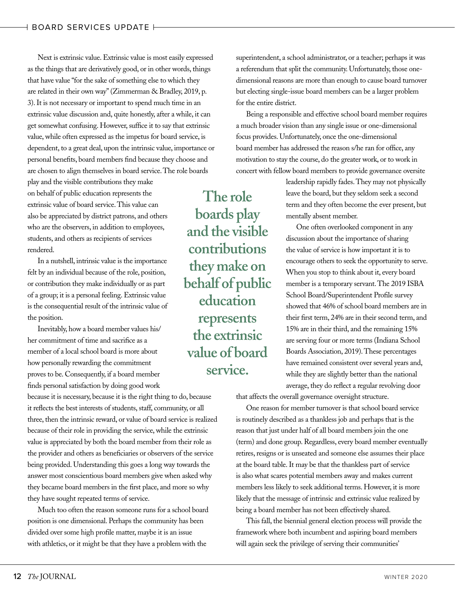Next is extrinsic value. Extrinsic value is most easily expressed as the things that are derivatively good, or in other words, things that have value "for the sake of something else to which they are related in their own way" (Zimmerman & Bradley, 2019, p. 3). It is not necessary or important to spend much time in an extrinsic value discussion and, quite honestly, after a while, it can get somewhat confusing. However, suffice it to say that extrinsic value, while often expressed as the impetus for board service, is dependent, to a great deal, upon the intrinsic value, importance or personal benefits, board members find because they choose and are chosen to align themselves in board service. The role boards

play and the visible contributions they make on behalf of public education represents the extrinsic value of board service. This value can also be appreciated by district patrons, and others who are the observers, in addition to employees, students, and others as recipients of services rendered.

In a nutshell, intrinsic value is the importance felt by an individual because of the role, position, or contribution they make individually or as part of a group; it is a personal feeling. Extrinsic value is the consequential result of the intrinsic value of the position.

Inevitably, how a board member values his/ her commitment of time and sacrifice as a member of a local school board is more about how personally rewarding the commitment proves to be. Consequently, if a board member finds personal satisfaction by doing good work

because it is necessary, because it is the right thing to do, because it reflects the best interests of students, staff, community, or all three, then the intrinsic reward, or value of board service is realized because of their role in providing the service, while the extrinsic value is appreciated by both the board member from their role as the provider and others as beneficiaries or observers of the service being provided. Understanding this goes a long way towards the answer most conscientious board members give when asked why they became board members in the first place, and more so why they have sought repeated terms of service.

Much too often the reason someone runs for a school board position is one dimensional. Perhaps the community has been divided over some high profile matter, maybe it is an issue with athletics, or it might be that they have a problem with the

superintendent, a school administrator, or a teacher; perhaps it was a referendum that split the community. Unfortunately, those onedimensional reasons are more than enough to cause board turnover but electing single-issue board members can be a larger problem for the entire district.

Being a responsible and effective school board member requires a much broader vision than any single issue or one-dimensional focus provides. Unfortunately, once the one-dimensional board member has addressed the reason s/he ran for office, any motivation to stay the course, do the greater work, or to work in concert with fellow board members to provide governance oversite

> leadership rapidly fades. They may not physically leave the board, but they seldom seek a second term and they often become the ever present, but mentally absent member.

> One often overlooked component in any discussion about the importance of sharing the value of service is how important it is to encourage others to seek the opportunity to serve. When you stop to think about it, every board member is a temporary servant. The 2019 ISBA School Board/Superintendent Profile survey showed that 46% of school board members are in their first term, 24% are in their second term, and 15% are in their third, and the remaining 15% are serving four or more terms (Indiana School Boards Association, 2019). These percentages have remained consistent over several years and, while they are slightly better than the national average, they do reflect a regular revolving door

that affects the overall governance oversight structure.

One reason for member turnover is that school board service is routinely described as a thankless job and perhaps that is the reason that just under half of all board members join the one (term) and done group. Regardless, every board member eventually retires, resigns or is unseated and someone else assumes their place at the board table. It may be that the thankless part of service is also what scares potential members away and makes current members less likely to seek additional terms. However, it is more likely that the message of intrinsic and extrinsic value realized by being a board member has not been effectively shared.

This fall, the biennial general election process will provide the framework where both incumbent and aspiring board members will again seek the privilege of serving their communities'

**The role boards play and the visible contributions they make on behalf of public education represents the extrinsic value of board service.**